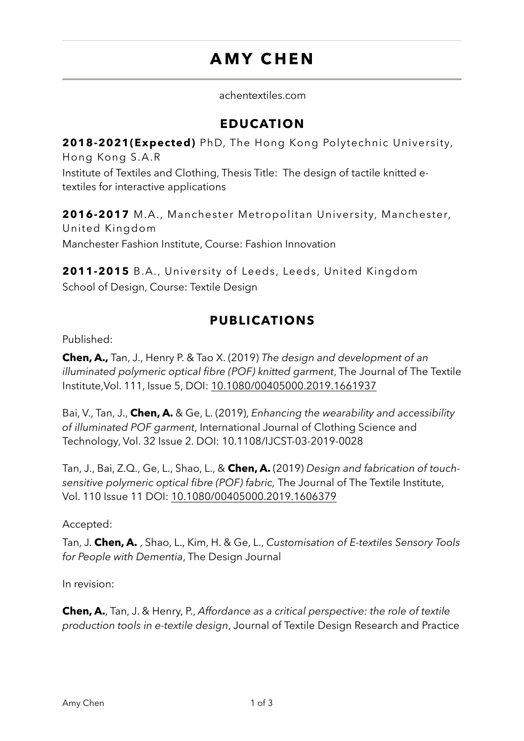# **AMY CHEN**

achentextiles.com

## **EDUCATION**

**2018-2021(Expected)** PhD, The Hong Kong Polytechnic University, Hong Kong S.A.R

Institute of Textiles and Clothing, Thesis Title: The design of tactile knitted etextiles for interactive applications

**2016-2017** M.A., Manchester Metropolitan University, Manchester, United Kingdom Manchester Fashion Institute, Course: Fashion Innovation

**2011-2015** B.A., University of Leeds, Leeds, United Kingdom School of Design, Course: Textile Design

# **PUBLICATIONS**

Published:

**Chen, A.,** Tan, J., Henry P. & Tao X. (2019) *The design and development of an illuminated polymeric optical fibre (POF) knitted garment*, The Journal of The Textile Institute,Vol. 111, Issue 5, DOI: [10.1080/00405000.2019.1661937](https://doi.org/10.1080/00405000.2019.1661937)

Bai, V., Tan, J., **Chen, A.** & Ge, L. (2019), *Enhancing the wearability and accessibility of illuminated POF garment*, [International Journal of Clothing Science and](https://www.emerald.com/insight/publication/issn/0955-6222)  [Technology](https://www.emerald.com/insight/publication/issn/0955-6222), Vol. 32 Issue 2. DOI: 10.1108/IJCST-03-2019-0028

Tan, J., Bai, Z.Q., Ge, L., Shao, L., & **Chen, A.** (2019) *Design and fabrication of touchsensitive polymeric optical fibre (POF) fabric,* The Journal of The Textile Institute, Vol. 110 Issue 11 DOI: [10.1080/00405000.2019.1606379](https://doi.org/10.1080/00405000.2019.1606379)

#### Accepted:

Tan, J. **Chen, A.** , Shao, L., Kim, H. & Ge, L., *Customisation of E-textiles Sensory Tools for People with Dementia*, The Design Journal

In revision:

**Chen, A.**, Tan, J. & Henry, P., *Affordance as a critical perspective: the role of textile production tools in e-textile design*, Journal of Textile Design Research and Practice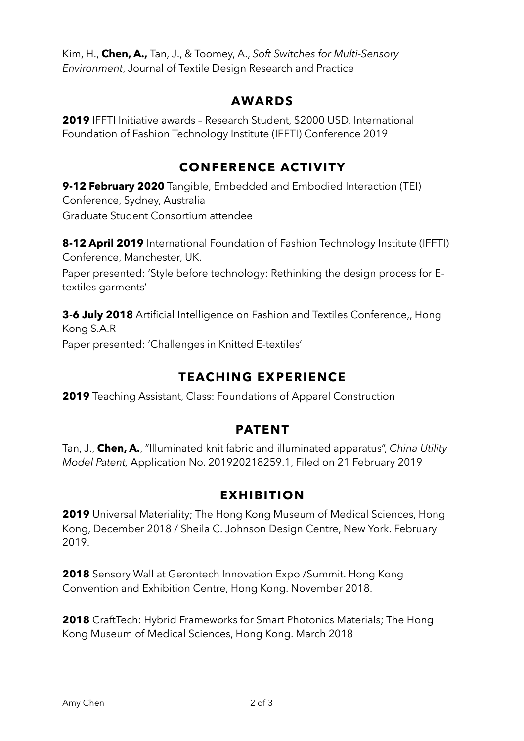Kim, H., **Chen, A.,** Tan, J., & Toomey, A., *Soft Switches for Multi-Sensory Environment*, Journal of Textile Design Research and Practice

## **AWARDS**

**2019** IFFTI Initiative awards – Research Student, \$2000 USD, International Foundation of Fashion Technology Institute (IFFTI) Conference 2019

# **CONFERENCE ACTIVITY**

**9-12 February 2020** Tangible, Embedded and Embodied Interaction (TEI) Conference, Sydney, Australia Graduate Student Consortium attendee

**8-12 April 2019** International Foundation of Fashion Technology Institute (IFFTI) Conference, Manchester, UK.

Paper presented: 'Style before technology: Rethinking the design process for Etextiles garments'

**3-6 July 2018** Artificial Intelligence on Fashion and Textiles Conference,, Hong Kong S.A.R Paper presented: 'Challenges in Knitted E-textiles'

# **TEACHING EXPERIENCE**

**2019** Teaching Assistant, Class: Foundations of Apparel Construction

#### **PATENT**

Tan, J., **Chen, A.**, "Illuminated knit fabric and illuminated apparatus", *China Utility Model Patent,* Application No. 201920218259.1, Filed on 21 February 2019

# **EXHIBITION**

**2019** Universal Materiality; The Hong Kong Museum of Medical Sciences, Hong Kong, December 2018 / Sheila C. Johnson Design Centre, New York. February 2019.

**2018** Sensory Wall at Gerontech Innovation Expo /Summit. Hong Kong Convention and Exhibition Centre, Hong Kong. November 2018.

**2018** CraftTech: Hybrid Frameworks for Smart Photonics Materials; The Hong Kong Museum of Medical Sciences, Hong Kong. March 2018